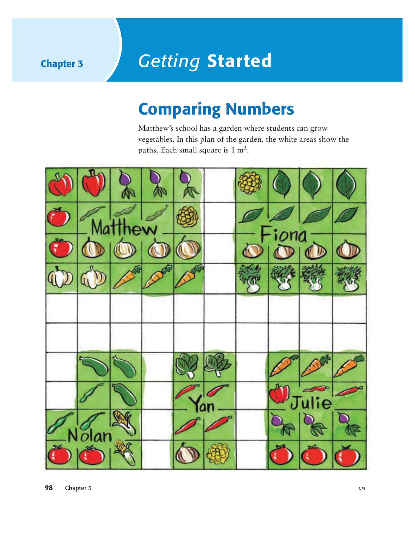## **Chapter 3** *Getting* **Started**

## **Comparing Numbers**

Matthew's school has a garden where students can grow vegetables. In this plan of the garden, the white areas show the paths. Each small square is 1 m2.

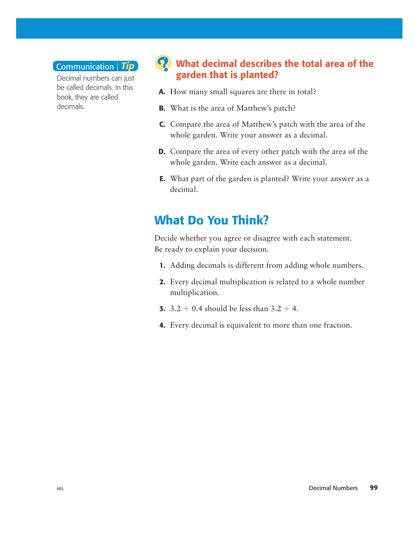#### Communication *Tip*

Decimal numbers can just be called decimals. In this book, they are called decimals.

#### **What decimal describes the total area of the garden that is planted?**

- **A.** How many small squares are there in total?
- **B.** What is the area of Matthew's patch?
- **C.** Compare the area of Matthew's patch with the area of the whole garden. Write your answer as a decimal.
- **D.** Compare the area of every other patch with the area of the whole garden. Write each answer as a decimal.
- **E.** What part of the garden is planted? Write your answer as a decimal.

#### **What Do You Think?**

Decide whether you agree or disagree with each statement. Be ready to explain your decision.

- **1.** Adding decimals is different from adding whole numbers.
- **2.** Every decimal multiplication is related to a whole number multiplication.
- **3.**  $3.2 \div 0.4$  should be less than  $3.2 \div 4$ .
- **4.** Every decimal is equivalent to more than one fraction.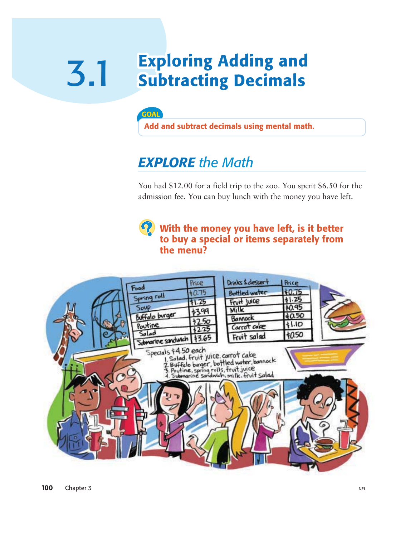### **Exploring Adding and** 3.1 **Subtracting Decimals**



**Add and subtract decimals using mental math.**

## *EXPLORE the Math*

You had \$12.00 for a field trip to the zoo. You spent \$6.50 for the admission fee. You can buy lunch with the money you have left.



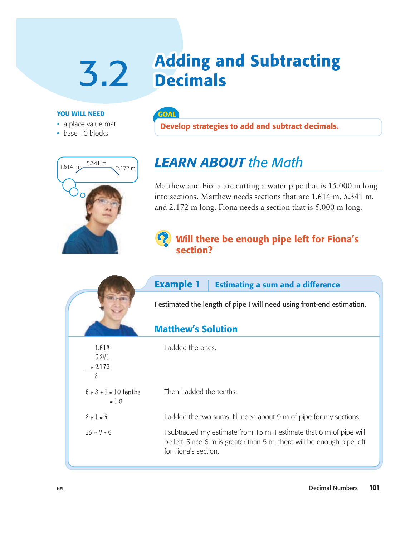# **3.2 Adding and Subtracting**

#### **YOU WILL NEED**

- a place value mat
- base 10 blocks



#### **GOAL**

**Develop strategies to add and subtract decimals.**

## *LEARN ABOUT the Math*

Matthew and Fiona are cutting a water pipe that is 15.000 m long into sections. Matthew needs sections that are 1.614 m, 5.341 m, and 2.172 m long. Fiona needs a section that is 5.000 m long.

#### **Will there be enough pipe left for Fiona's section?**

|                                    | <b>Example 1</b><br><b>Estimating a sum and a difference</b>                                                                                                           |  |
|------------------------------------|------------------------------------------------------------------------------------------------------------------------------------------------------------------------|--|
|                                    | I estimated the length of pipe I will need using front-end estimation.                                                                                                 |  |
|                                    | <b>Matthew's Solution</b>                                                                                                                                              |  |
| 1.614<br>5.341<br>$+2.172$<br>8    | I added the ones.                                                                                                                                                      |  |
| $6 + 3 + 1 = 10$ tenths<br>$= 1.0$ | Then I added the tenths.                                                                                                                                               |  |
| $8 + 1 = 9$                        | I added the two sums. I'll need about 9 m of pipe for my sections.                                                                                                     |  |
| $15 - 9 = 6$                       | I subtracted my estimate from 15 m. I estimate that 6 m of pipe will<br>be left. Since 6 m is greater than 5 m, there will be enough pipe left<br>for Fiona's section. |  |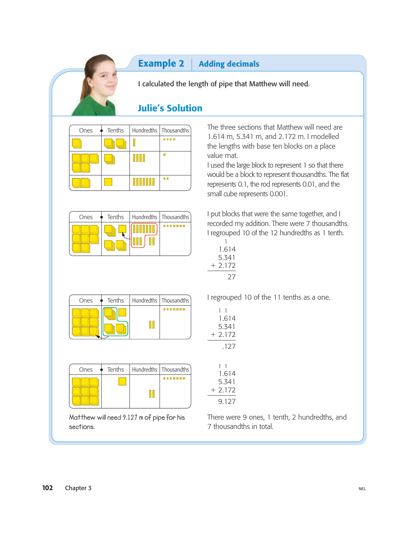#### **Example 2** | Adding decimals

I calculated the length of pipe that Matthew will need.

#### **Julie's Solution**

| Ones | Tenths |                      | Hundredths   Thousandths |
|------|--------|----------------------|--------------------------|
|      |        |                      |                          |
|      |        | ШШ                   |                          |
|      |        | <u>HII HII HII H</u> | a a                      |

| Ones |  | Tenths   Hundredths   Thousandths |
|------|--|-----------------------------------|
|      |  |                                   |

The three sections that Matthew will need are 1.614 m, 5.341 m, and 2.172 m. I modelled the lengths with base ten blocks on a place value mat.

I used the large block to represent 1 so that there would be a block to represent thousandths. The flat represents 0.1, the rod represents 0.01, and the small cube represents 0.001.

I put blocks that were the same together, and I recorded my addition. There were 7 thousandths. I regrouped 10 of the 12 hundredths as 1 tenth.

| 1.614   |
|---------|
| 5.341   |
| + 2.172 |
| 27      |

| Ones | Tenths | Hundredths   Thousandths |
|------|--------|--------------------------|
|      |        | --                       |

| Ones |  | $\bullet$ Tenths   Hundredths   Thousandths |
|------|--|---------------------------------------------|
|      |  |                                             |

**Matthew will need 9.127 m of pipe for his sections.**

I regrouped 10 of the 11 tenths as a one.

| 11 |         |  |
|----|---------|--|
|    | 1.614   |  |
|    | 5.341   |  |
|    | + 2.172 |  |
|    | .127    |  |

| 1.614     |  |
|-----------|--|
| 5 341     |  |
| $+ 2.172$ |  |
| 9 127     |  |

There were 9 ones, 1 tenth, 2 hundredths, and 7 thousandths in total.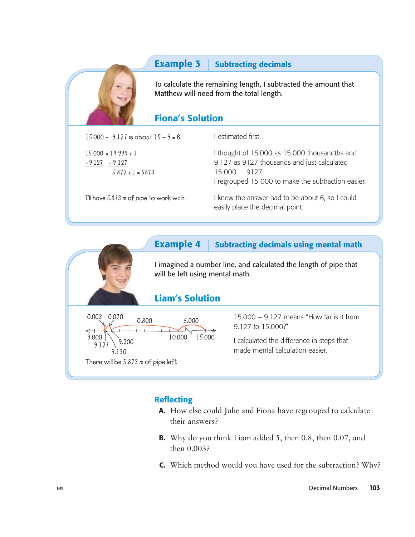#### **Example 3** Subtracting decimals



To calculate the remaining length, I subtracted the amount that Matthew will need from the total length.

#### **Fiona's Solution**

**15.000 – 9.127 is about 15 – 9 = 6.**

**15 000 = 14 999 + 1 - 9 1 2 7 - 9 1 2 7 5 872 + 1 = 5873** I estimated first.

I thought of 15.000 as 15 000 thousandths and 9.127 as 9127 thousands and just calculated  $15000 - 9127.$ I regrouped 15 000 to make the subtraction easier.

**I'll have 5.873 m of pipe to work with.**

I knew the answer had to be about 6, so I could easily place the decimal point.

#### **Example 4** Subtracting decimals using mental math

I imagined a number line, and calculated the length of pipe that will be left using mental math.

#### **Liam's Solution**



15.000 – 9.127 means "How far is it from 9.127 to 15.000?"

I calculated the difference in steps that made mental calculation easier.

#### **Reflecting**

- **A.** How else could Julie and Fiona have regrouped to calculate their answers?
- **B.** Why do you think Liam added 5, then 0.8, then 0.07, and then 0.003?
- **C.** Which method would you have used for the subtraction? Why?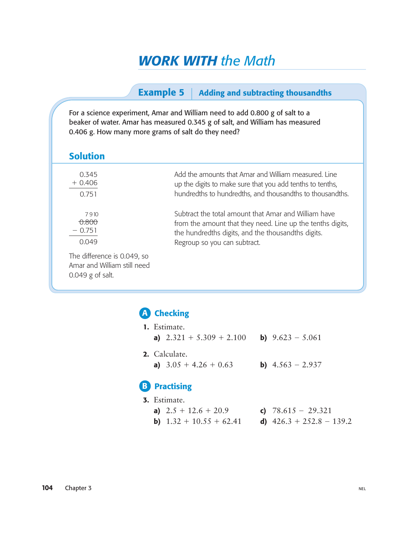## *WORK WITH the Math*

#### **Example 5** Adding and subtracting thousandths

For a science experiment, Amar and William need to add 0.800 g of salt to a beaker of water. Amar has measured 0.345 g of salt, and William has measured 0.406 g. How many more grams of salt do they need?

| <b>Solution</b>                                                                  |                                                            |
|----------------------------------------------------------------------------------|------------------------------------------------------------|
| 0.345                                                                            | Add the amounts that Amar and William measured. Line       |
| $+0.406$                                                                         | up the digits to make sure that you add tenths to tenths,  |
| 0.751                                                                            | hundredths to hundredths, and thousandths to thousandths.  |
| 7910                                                                             | Subtract the total amount that Amar and William have       |
| <del>0.800</del>                                                                 | from the amount that they need. Line up the tenths digits, |
| $-0.751$                                                                         | the hundredths digits, and the thousandths digits.         |
| 0.049                                                                            | Regroup so you can subtract.                               |
| The difference is 0.049, so<br>Amar and William still need<br>$0.049$ g of salt. |                                                            |

#### **Checking A**

| <b>1.</b> Estimate.                           |                           |
|-----------------------------------------------|---------------------------|
| a) $2.321 + 5.309 + 2.100$ b) $9.623 - 5.061$ |                           |
| 2. Calculate.<br>a) $3.05 + 4.26 + 0.63$      | <b>b)</b> $4.563 - 2.937$ |
| <b>B</b> Practising                           |                           |
| <b>3.</b> Estimate.                           |                           |

| a) $2.5 + 12.6 + 20.9$           | c) $78.615 - 29.321$       |
|----------------------------------|----------------------------|
| <b>b)</b> $1.32 + 10.55 + 62.41$ | d) $426.3 + 252.8 - 139.2$ |